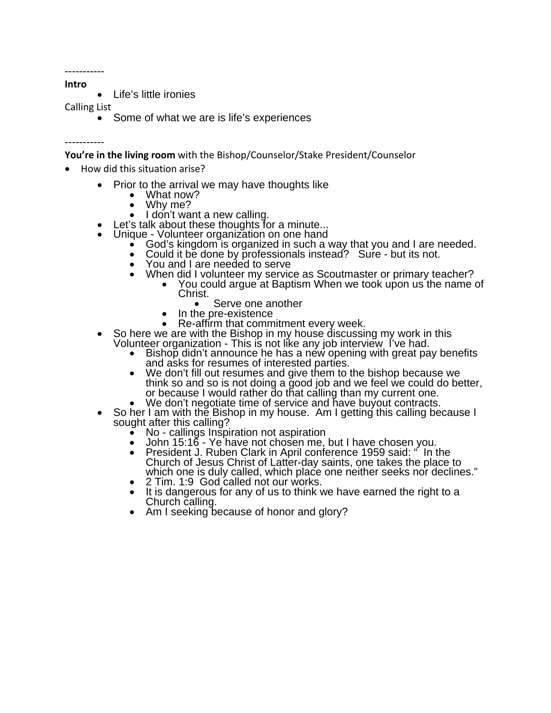----------- **Intro**

• Life's little ironies

Calling List

• Some of what we are is life's experiences

-----------

**You're in the living room** with the Bishop/Counselor/Stake President/Counselor

- How did this situation arise?
	- Prior to the arrival we may have thoughts like<br>
	 What now?
		-
		-
		- Why me?<br>I don't want a new calling.
	-
	-
- Let's talk about these thoughts for a minute...<br>
Unique Volunteer organization on one hand<br>
 God's kingdom is organized in such a way that you and I are needed.<br>
 Could it be done by professionals instead? Sure but i
	-
	-
	- - When did I volunteer my service as Scoutmaster or primary teacher?<br>
		 You could argue at Baptism When we took upon us the name of<br>
		Christ.<br>
		 Serve one another<br>
		 In the pre-existence
			-
			-
			-
	- -
- Re-affirm that commitment every week.<br>
So here we are with the Bishop in my house discussing my work in this<br>
Volunteer organization This is not like any job interview I've had.<br>
 Bishop didn't announce he has a new o
	-
	- We don't negotiate time of service and have buyout contracts.<br>• So her I am with the Bishop in my house. Am I getting this calling because I sought after this calling?<br>• No callings Inspiration not aspiration
		-
		-
		- John 15:16 Ye have not chosen me, but I have chosen you.<br> President J. Ruben Clark in April conference 1959 said: " In the Church of Jesus Christ of Latter-day saints, one takes the place to
		-
		- which one is duly called, which place one neither seeks nor declines."<br>
		 2 Tim. 1:9 God called not our works.<br>
		 It is dangerous for any of us to think we have earned the right to a<br>
		Church calling.<br>
		 Am I seeking becaus
		-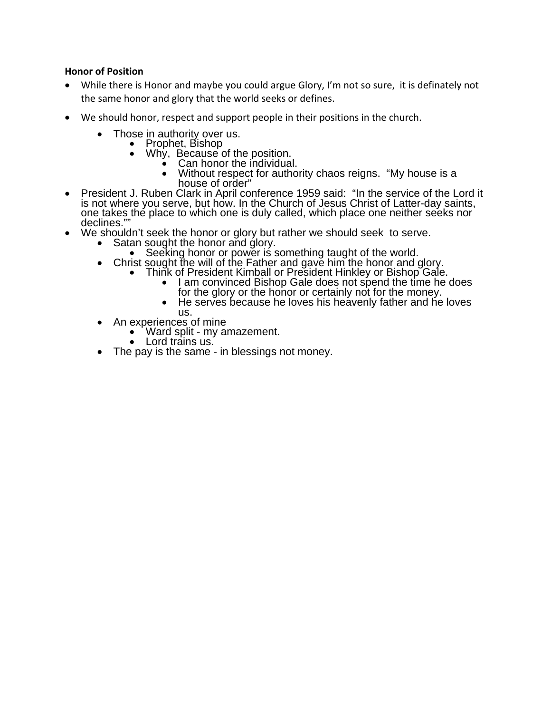## **Honor of Position**

- While there is Honor and maybe you could argue Glory, I'm not so sure, it is definately not the same honor and glory that the world seeks or defines.
- We should honor, respect and support people in their positions in the church.
	- Those in authority over us.<br>• Prophet, Bishop
		- - -
			- Why, Because of the position.<br>
			 Can honor the individual.<br>
			 Without respect for authority chaos reigns. "My house is a
- house of order"<br>President J. Ruben Clark in April conference 1959 said: "In the service of the Lord it<br>is not where you serve, but how. In the Church of Jesus Christ of Latter-day saints, one takes the place to which one is duly called, which place one neither seeks nor<br>declines.""<br>We shouldn't seek the honor or glory but rather we should seek to serve.<br>• Satan sought the honor and glory.<br>• Seeking honor o
- -
	- - - -
				-
	-
- us.<br>An experiences of mine<br>Ward split my amazement.
	-
	- $\bullet$  Lord trains us.<br>The pay is the same in blessings not money.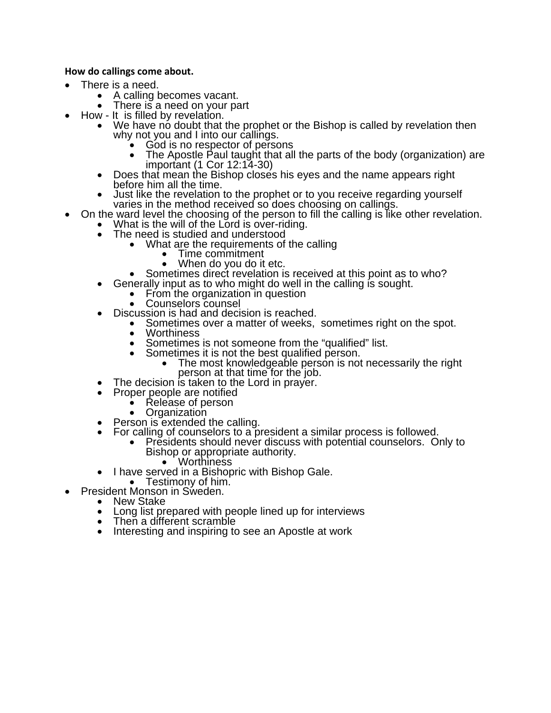### **How do callings come about.**

- - There is a need.<br>
	 A calling becomes vacant.<br>
	 There is a need on your part
		-
	-
	- How It is filled by revelation.<br>
	 We have no doubt that the prophet or the Bishop is called by revelation then why not you and I into our callings.<br>
	 God is no respector of persons
		-
		-
		-
	- The Apostle Paul taught that all the parts of the body (organization) are<br>
	 Does that mean the Bishop closes his eyes and the name appears right<br>
	 Does that mean the Bishop closes his eyes and the name appears right<br>
	•
- - -
	- The need is studied and understood<br>• What are the requirements of the calling<br>• Time commitment<br>• When do you do it etc.
		-
		-
		- Sometimes direct revelation is received at this point as to who?<br>
		Generally input as to who might do well in the calling is sought.<br>
		 From the organization in question<br>
		 Counselors counsel
	- - -
	-
- Discussion is had and decision is reached.<br>
 Sometimes over a matter of weeks, sometimes right on the spot.<br>
 Worthiness
	-
	- Sometimes is not someone from the "qualified" list.<br>• Sometimes it is not the best qualified person.
		-
		- Sometimes it is not the best qualified person.<br>
		The most knowledgeable person is not necessarily the right person at that time for the job.<br>
		The decision is taken to the Lord in prayer.
			-
	- Proper people are notified<br>
	 Release of person<br>
	 Organization
		-
		-
	-
	- Person is extended the calling.<br>For calling of counselors to a president a similar process is followed.
- For calling of counselors to a president a similar process is followed.<br>• Presidents should never discuss with potential counselors. Only to<br>Bishop or appropriate authority.<br>• Worthiness<br>• Testimony of him.<br>• President M
	-
	-
	-
- -
	- Long list prepared with people lined up for interviews
	- Then a different scramble
	- Interesting and inspiring to see an Apostle at work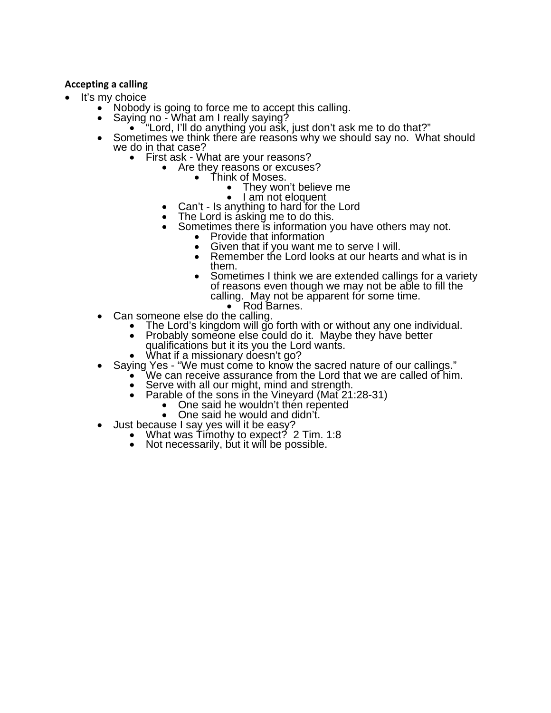## **Accepting a calling**

- - It's my choice<br>• Nobody is going to force me to accept this calling.
		- -
		- Saying no What am I really saying?<br>
		 "Lord, I'll do anything you ask, just don't ask me to do that?"<br>
		 Sometimes we think there are reasons why we should say no. What should<br>
		we do in that case?<br>
		 First ask What a
			- - - -
						-
					- Can't Is anything to hard for the Lord
				- The Lord is asking me to do this.
				- Sometimes there is information you have others may not.<br>
				 Provide that information
					-
					- Given that if you want me to serve I will.<br>• Remember the Lord looks at our hearts
					- Remember the Lord looks at our hearts and what is in them.
			- Sometimes I think we are extended callings for a variety<br>of reasons even though we may not be able to fill the<br>calling. May not be apparent for some time.<br>• Rod Barnes.<br>• The Lord's kingdom will go forth with or without
			- -
				- -
				-
		- - -
				- Serve with all our might, mind and strength.<br>Parable of the sons in the Vineyard (Mat 21:28-31)<br>• One said he wouldn't then repented<br>• One said he would and didn't.
					-
					-
		-
		- Oust because I say yes will it be easy?<br>
		What was Timothy to expect? 2 Tim. 1:8
			- Not necessarily, but it will be possible.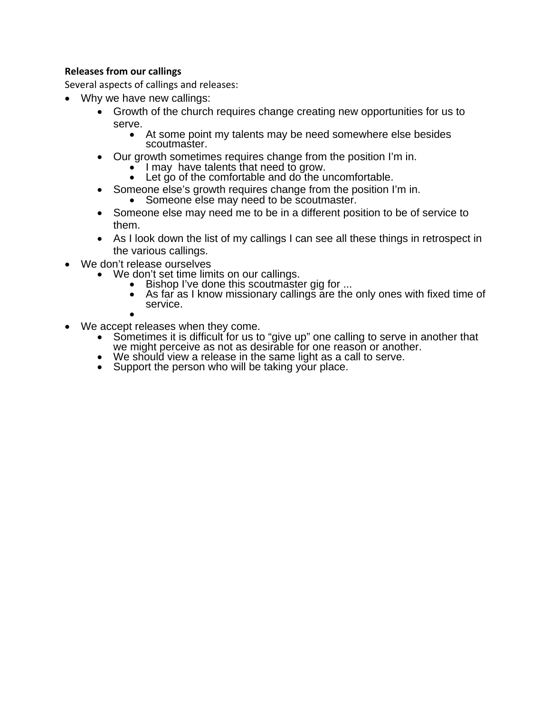# **Releases from our callings**

Several aspects of callings and releases:

- Why we have new callings:
	- Growth of the church requires change creating new opportunities for us to
		- serve.<br>
		 At some point my talents may be need somewhere else besides scoutmaster.
	- Our growth sometimes requires change from the position I'm in. I may have talents that need to grow. Let go of the comfortable and do the uncomfortable.
		-
		-
	- Someone else's growth requires change from the position I'm in.<br>• Someone else may need to be scoutmaster.
		-
	- Someone else may need me to be in a different position to be of service to them.
	- As I look down the list of my callings I can see all these things in retrospect in the various callings.
- - We don't release ourselves<br>
	 We don't set time limits on our callings.<br>
	 Bishop I've done this scoutmaster gig for ...
		-
		- As far as I know missionary callings are the only ones with fixed time of service.
		-
- - We accept releases when they come.<br>• Sometimes it is difficult for us to "give up" one calling to serve in another that<br>we might perceive as not as desirable for one reason or another.<br>• We should view a release in the sam
		-
		- Support the person who will be taking your place.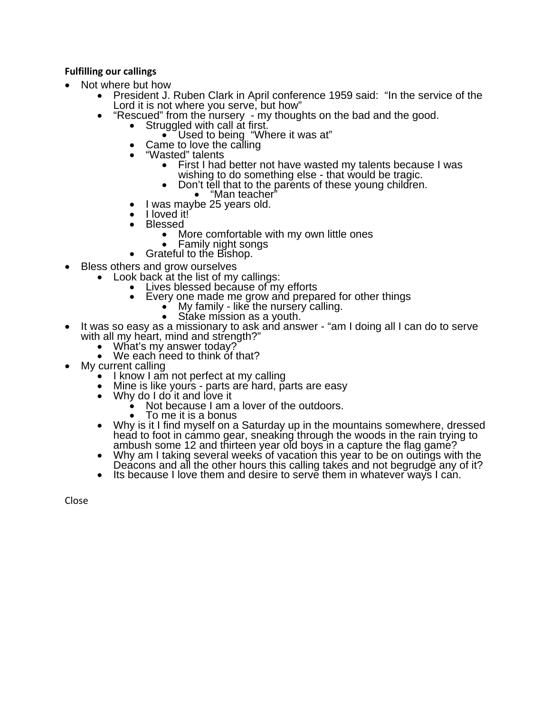## **Fulfilling our callings**

- - Not where but how<br>
	President J. Ruben Clark in April conference 1959 said: "In the service of the<br>
	Lord it is not where you serve, but how"
		- "Rescued" from the nursery my thoughts on the bad and the good.<br>
		 Struggled with call at first.<br>
		 Used to being "Where it was at"<br>
		 Came to love the calling<br>
		 "Wasted" talents
			- -
			-
			- - First I had better not have wasted my talents because I was<br>wishing to do something else that would be tragic.<br>• Don't tell that to the parents of these young children.<br>• "Man teacher"<br>I was maybe 25 years old.
					- -
				-
			- I loved it!<sup>'</sup><br>• Blessed
			- - More comfortable with my own little ones<br>Family night songs
				-
			- Grateful to the Bishop.
- - Bless others and grow ourselves<br>
	 Look back at the list of my callings:<br>
	 Lives blessed because of my efforts
		- - Every one made me grow and prepared for other things<br>
			 My family like the nursery calling.<br>
			 Stake mission as a youth.
				-
				-
- It was so easy as a missionary to ask and answer "am I doing all I can do to serve<br>with all my heart, mind and strength?"<br>• What's my answer today?<br>• We each need to think of that?
	-
	-
	-
- My current calling<br>• I know I am not perfect at my calling
	- Mine is like yours parts are hard, parts are easy Why do I do it and love it
	-
	- Why do I do it and love it<br>• Not because I am a lover of the outdoors.<br>• To me it is a bonus
		-
	- Why is it I find myself on a Saturday up in the mountains somewhere, dressed<br>head to foot in cammo gear, sneaking through the woods in the rain trying to<br>ambush some 12 and thirteen year old boys in a capture the flag ga
	-
	-

Close